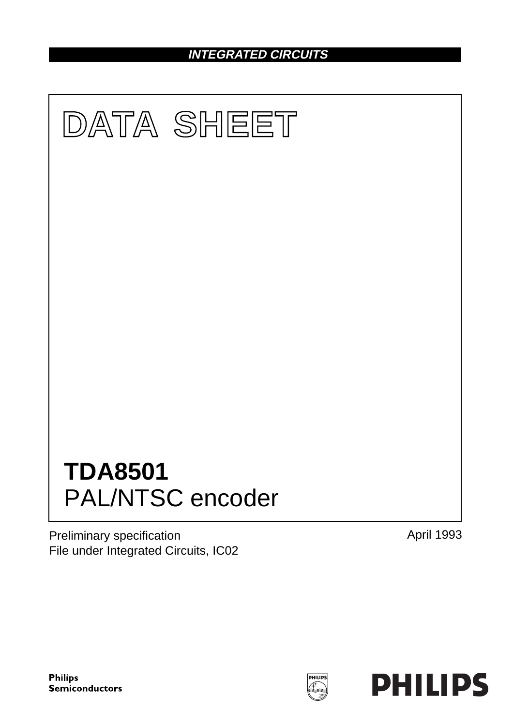# **INTEGRATED CIRCUITS**



Preliminary specification File under Integrated Circuits, IC02 April 1993

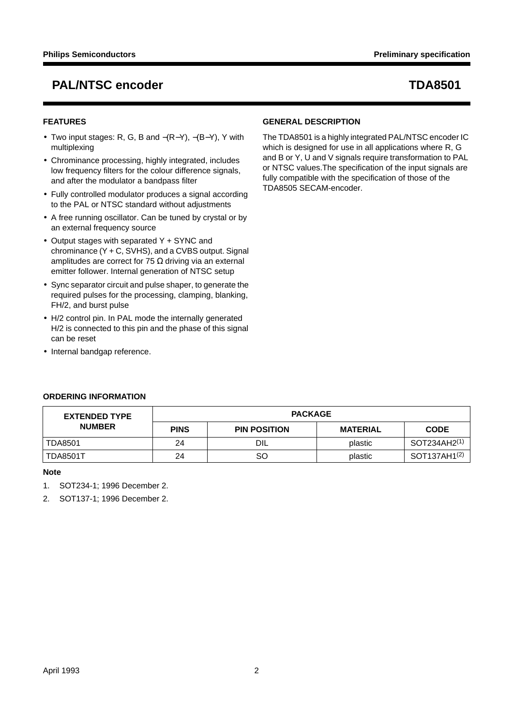## **FEATURES**

- Two input stages: R, G, B and −(R−Y), −(B−Y), Y with multiplexing
- Chrominance processing, highly integrated, includes low frequency filters for the colour difference signals, and after the modulator a bandpass filter
- Fully controlled modulator produces a signal according to the PAL or NTSC standard without adjustments
- A free running oscillator. Can be tuned by crystal or by an external frequency source
- Output stages with separated Y + SYNC and chrominance (Y + C, SVHS), and a CVBS output. Signal amplitudes are correct for 75  $\Omega$  driving via an external emitter follower. Internal generation of NTSC setup
- Sync separator circuit and pulse shaper, to generate the required pulses for the processing, clamping, blanking, FH/2, and burst pulse
- H/2 control pin. In PAL mode the internally generated H/2 is connected to this pin and the phase of this signal can be reset
- Internal bandgap reference.

## **GENERAL DESCRIPTION**

The TDA8501 is a highly integrated PAL/NTSC encoder IC which is designed for use in all applications where R, G and B or Y, U and V signals require transformation to PAL or NTSC values.The specification of the input signals are fully compatible with the specification of those of the TDA8505 SECAM-encoder.

| <b>EXTENDED TYPE</b> | <b>PACKAGE</b> |                     |                 |                          |  |  |  |
|----------------------|----------------|---------------------|-----------------|--------------------------|--|--|--|
| <b>NUMBER</b>        | <b>PINS</b>    | <b>PIN POSITION</b> | <b>MATERIAL</b> | <b>CODE</b>              |  |  |  |
| <b>TDA8501</b>       | 24             | DIL                 | plastic         | SOT234AH2 <sup>(1)</sup> |  |  |  |
| <b>TDA8501T</b>      | 24             | SO                  | plastic         | SOT137AH1 <sup>(2)</sup> |  |  |  |

### **Note**

1. SOT234-1; 1996 December 2.

2. SOT137-1; 1996 December 2.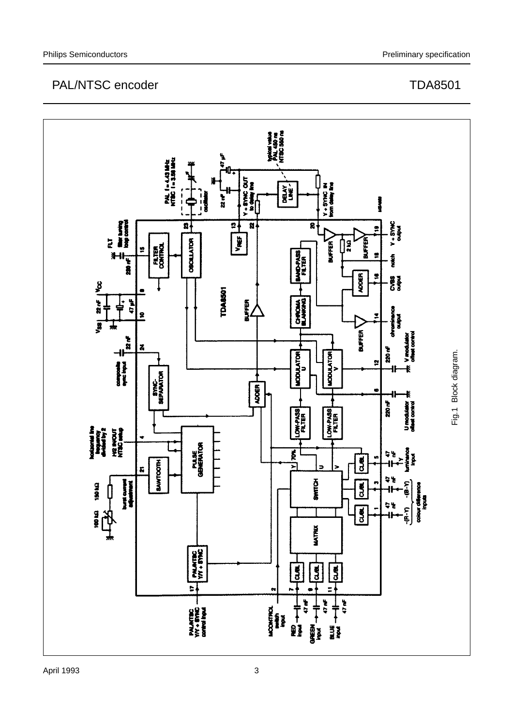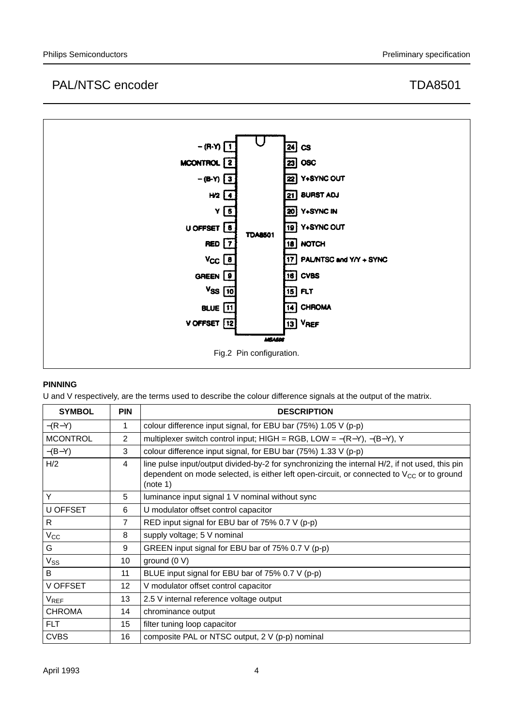

## **PINNING**

U and V respectively, are the terms used to describe the colour difference signals at the output of the matrix.

| <b>SYMBOL</b>   | <b>PIN</b>     | <b>DESCRIPTION</b>                                                                                                                                                                                           |
|-----------------|----------------|--------------------------------------------------------------------------------------------------------------------------------------------------------------------------------------------------------------|
| $-(R-Y)$        | 1              | colour difference input signal, for EBU bar (75%) 1.05 V (p-p)                                                                                                                                               |
| <b>MCONTROL</b> | $\overline{2}$ | multiplexer switch control input; HIGH = RGB, LOW = $-(R-Y)$ , $-(B-Y)$ , Y                                                                                                                                  |
| $-(B-Y)$        | 3              | colour difference input signal, for EBU bar (75%) 1.33 V (p-p)                                                                                                                                               |
| H/2             | 4              | line pulse input/output divided-by-2 for synchronizing the internal H/2, if not used, this pin<br>dependent on mode selected, is either left open-circuit, or connected to $V_{CC}$ or to ground<br>(note 1) |
| Y               | 5              | luminance input signal 1 V nominal without sync                                                                                                                                                              |
| U OFFSET        | 6              | U modulator offset control capacitor                                                                                                                                                                         |
| R               | 7              | RED input signal for EBU bar of 75% 0.7 V (p-p)                                                                                                                                                              |
| $V_{\rm CC}$    | 8              | supply voltage; 5 V nominal                                                                                                                                                                                  |
| G               | 9              | GREEN input signal for EBU bar of 75% 0.7 V (p-p)                                                                                                                                                            |
| $V_{SS}$        | 10             | ground (0 V)                                                                                                                                                                                                 |
| B               | 11             | BLUE input signal for EBU bar of 75% 0.7 V (p-p)                                                                                                                                                             |
| V OFFSET        | 12             | V modulator offset control capacitor                                                                                                                                                                         |
| $V_{REF}$       | 13             | 2.5 V internal reference voltage output                                                                                                                                                                      |
| <b>CHROMA</b>   | 14             | chrominance output                                                                                                                                                                                           |
| FLT.            | 15             | filter tuning loop capacitor                                                                                                                                                                                 |
| <b>CVBS</b>     | 16             | composite PAL or NTSC output, 2 V (p-p) nominal                                                                                                                                                              |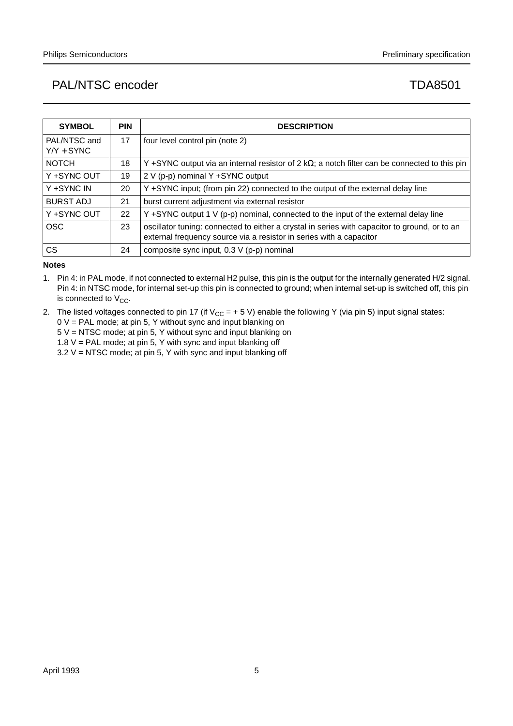| <b>SYMBOL</b>                | <b>PIN</b> | <b>DESCRIPTION</b>                                                                                                                                                   |
|------------------------------|------------|----------------------------------------------------------------------------------------------------------------------------------------------------------------------|
| PAL/NTSC and<br>$Y/Y + SYNC$ | 17         | four level control pin (note 2)                                                                                                                                      |
| <b>NOTCH</b>                 | 18         | Y +SYNC output via an internal resistor of $2 k\Omega$ ; a notch filter can be connected to this pin                                                                 |
| Y +SYNC OUT                  | 19         | 2 V (p-p) nominal Y +SYNC output                                                                                                                                     |
| Y +SYNC IN                   | 20         | Y +SYNC input; (from pin 22) connected to the output of the external delay line                                                                                      |
| <b>BURST ADJ</b>             | 21         | burst current adjustment via external resistor                                                                                                                       |
| Y +SYNC OUT                  | 22         | Y +SYNC output 1 V (p-p) nominal, connected to the input of the external delay line                                                                                  |
| <b>OSC</b>                   | 23         | oscillator tuning: connected to either a crystal in series with capacitor to ground, or to an<br>external frequency source via a resistor in series with a capacitor |
| CS.                          | 24         | composite sync input, $0.3 \vee (p-p)$ nominal                                                                                                                       |

## **Notes**

- 1. Pin 4: in PAL mode, if not connected to external H2 pulse, this pin is the output for the internally generated H/2 signal. Pin 4: in NTSC mode, for internal set-up this pin is connected to ground; when internal set-up is switched off, this pin is connected to  $V_{CC}$ .
- 2. The listed voltages connected to pin 17 (if  $V_{CC} = +5 V$ ) enable the following Y (via pin 5) input signal states:
	- 0 V = PAL mode; at pin 5, Y without sync and input blanking on 5 V = NTSC mode; at pin 5, Y without sync and input blanking on
	- 1.8  $V = PAL$  mode; at pin 5, Y with sync and input blanking off
	- $3.2$  V = NTSC mode; at pin 5, Y with sync and input blanking off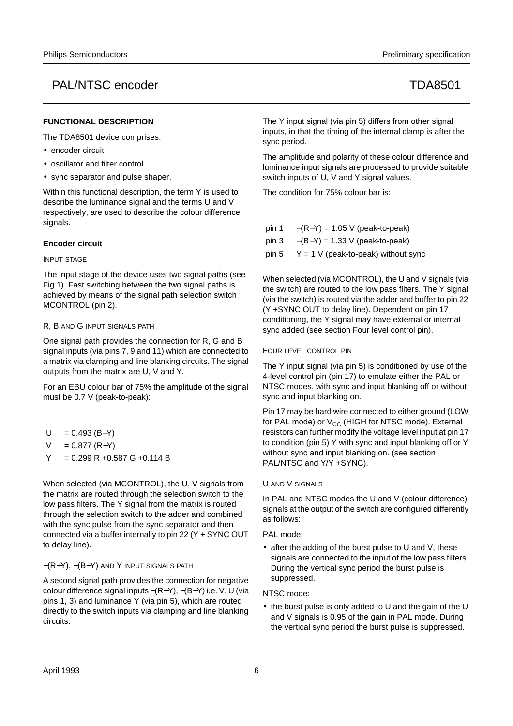## **FUNCTIONAL DESCRIPTION**

The TDA8501 device comprises:

- encoder circuit
- oscillator and filter control
- sync separator and pulse shaper.

Within this functional description, the term Y is used to describe the luminance signal and the terms U and V respectively, are used to describe the colour difference signals.

### **Encoder circuit**

### INPUT STAGE

The input stage of the device uses two signal paths (see Fig.1). Fast switching between the two signal paths is achieved by means of the signal path selection switch MCONTROL (pin 2).

### R, B AND G INPUT SIGNALS PATH

One signal path provides the connection for R, G and B signal inputs (via pins 7, 9 and 11) which are connected to a matrix via clamping and line blanking circuits. The signal outputs from the matrix are U, V and Y.

For an EBU colour bar of 75% the amplitude of the signal must be 0.7 V (peak-to-peak):

- $U = 0.493$  (B–Y)
- $V = 0.877$  (R-Y)
- $Y = 0.299 R + 0.587 G + 0.114 B$

When selected (via MCONTROL), the U, V signals from the matrix are routed through the selection switch to the low pass filters. The Y signal from the matrix is routed through the selection switch to the adder and combined with the sync pulse from the sync separator and then connected via a buffer internally to pin 22 (Y + SYNC OUT to delay line).

−(R−Y), −(B−Y) AND Y INPUT SIGNALS PATH

A second signal path provides the connection for negative colour difference signal inputs −(R−Y), −(B−Y) i.e. V, U (via pins 1, 3) and luminance Y (via pin 5), which are routed directly to the switch inputs via clamping and line blanking circuits.

The Y input signal (via pin 5) differs from other signal inputs, in that the timing of the internal clamp is after the sync period.

The amplitude and polarity of these colour difference and luminance input signals are processed to provide suitable switch inputs of U, V and Y signal values.

The condition for 75% colour bar is:

- pin 1  $-(R-Y) = 1.05$  V (peak-to-peak)
- pin 3  $-(B-Y) = 1.33$  V (peak-to-peak)
- pin 5  $Y = 1$  V (peak-to-peak) without sync

When selected (via MCONTROL), the U and V signals (via the switch) are routed to the low pass filters. The Y signal (via the switch) is routed via the adder and buffer to pin 22 (Y +SYNC OUT to delay line). Dependent on pin 17 conditioning, the Y signal may have external or internal sync added (see section Four level control pin).

### FOUR LEVEL CONTROL PIN

The Y input signal (via pin 5) is conditioned by use of the 4-level control pin (pin 17) to emulate either the PAL or NTSC modes, with sync and input blanking off or without sync and input blanking on.

Pin 17 may be hard wire connected to either ground (LOW for PAL mode) or  $V_{CC}$  (HIGH for NTSC mode). External resistors can further modify the voltage level input at pin 17 to condition (pin 5) Y with sync and input blanking off or Y without sync and input blanking on. (see section PAL/NTSC and Y/Y +SYNC).

### U AND V SIGNALS

In PAL and NTSC modes the U and V (colour difference) signals at the output of the switch are configured differently as follows:

### PAL mode:

• after the adding of the burst pulse to U and V, these signals are connected to the input of the low pass filters. During the vertical sync period the burst pulse is suppressed.

### NTSC mode:

• the burst pulse is only added to U and the gain of the U and V signals is 0.95 of the gain in PAL mode. During the vertical sync period the burst pulse is suppressed.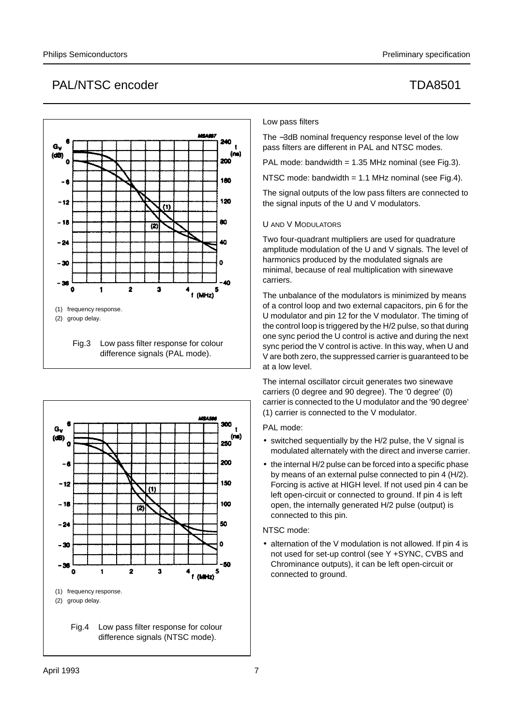

Fig.3 Low pass filter response for colour difference signals (PAL mode).





### Low pass filters

The −3dB nominal frequency response level of the low pass filters are different in PAL and NTSC modes.

PAL mode: bandwidth =  $1.35$  MHz nominal (see Fig.3).

NTSC mode: bandwidth = 1.1 MHz nominal (see Fig.4).

The signal outputs of the low pass filters are connected to the signal inputs of the U and V modulators.

### U AND V MODULATORS

Two four-quadrant multipliers are used for quadrature amplitude modulation of the U and V signals. The level of harmonics produced by the modulated signals are minimal, because of real multiplication with sinewave carriers.

The unbalance of the modulators is minimized by means of a control loop and two external capacitors, pin 6 for the U modulator and pin 12 for the V modulator. The timing of the control loop is triggered by the H/2 pulse, so that during one sync period the U control is active and during the next sync period the V control is active. In this way, when U and V are both zero, the suppressed carrier is guaranteed to be at a low level.

The internal oscillator circuit generates two sinewave carriers (0 degree and 90 degree). The '0 degree' (0) carrier is connected to the U modulator and the '90 degree' (1) carrier is connected to the V modulator.

PAL mode:

- switched sequentially by the H/2 pulse, the V signal is modulated alternately with the direct and inverse carrier.
- the internal H/2 pulse can be forced into a specific phase by means of an external pulse connected to pin 4 (H/2). Forcing is active at HIGH level. If not used pin 4 can be left open-circuit or connected to ground. If pin 4 is left open, the internally generated H/2 pulse (output) is connected to this pin.

### NTSC mode:

• alternation of the V modulation is not allowed. If pin 4 is not used for set-up control (see Y +SYNC, CVBS and Chrominance outputs), it can be left open-circuit or connected to ground.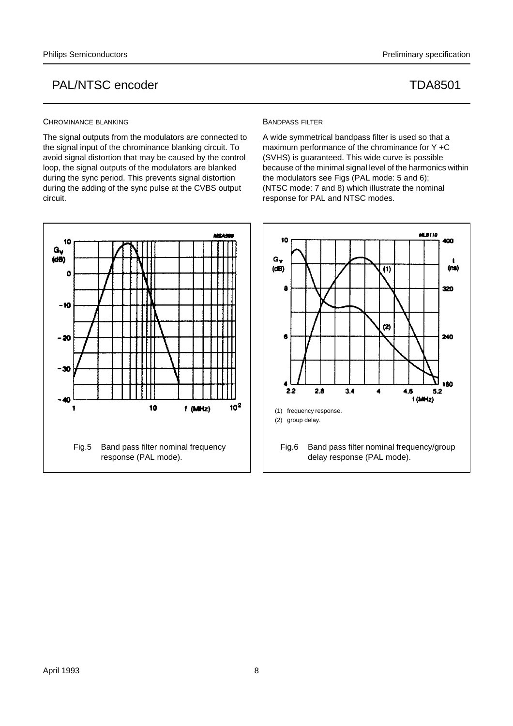### CHROMINANCE BLANKING

The signal outputs from the modulators are connected to the signal input of the chrominance blanking circuit. To avoid signal distortion that may be caused by the control loop, the signal outputs of the modulators are blanked during the sync period. This prevents signal distortion during the adding of the sync pulse at the CVBS output circuit.



### BANDPASS FILTER

A wide symmetrical bandpass filter is used so that a maximum performance of the chrominance for Y +C (SVHS) is guaranteed. This wide curve is possible because of the minimal signal level of the harmonics within the modulators see Figs (PAL mode: 5 and 6); (NTSC mode: 7 and 8) which illustrate the nominal response for PAL and NTSC modes.

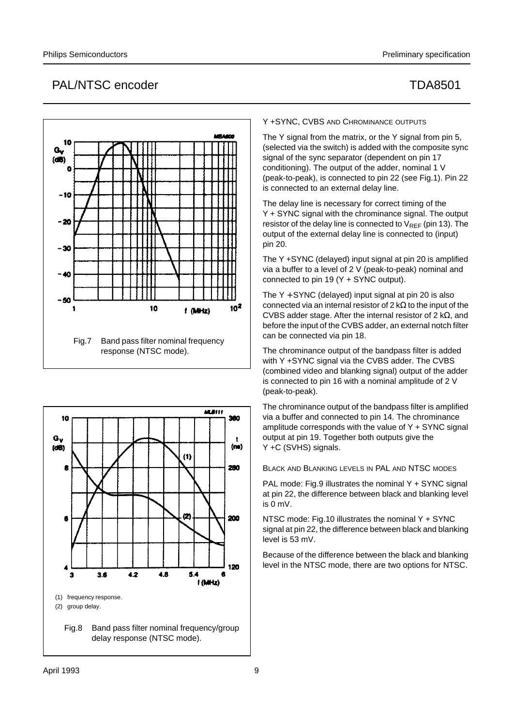# 10  $G_{\nu}$  $(d)$ n  $-10$  $-20$  $-30$  $-40$  $-50$ 10  $10<sup>2</sup>$ 1  $f(MHz)$ Fig.7 Band pass filter nominal frequency response (NTSC mode).



Y +SYNC, CVBS AND CHROMINANCE OUTPUTS

The Y signal from the matrix, or the Y signal from pin 5, (selected via the switch) is added with the composite sync signal of the sync separator (dependent on pin 17 conditioning). The output of the adder, nominal 1 V (peak-to-peak), is connected to pin 22 (see Fig.1). Pin 22 is connected to an external delay line.

The delay line is necessary for correct timing of the Y + SYNC signal with the chrominance signal. The output resistor of the delay line is connected to  $V_{RFF}$  (pin 13). The output of the external delay line is connected to (input) pin 20.

The Y +SYNC (delayed) input signal at pin 20 is amplified via a buffer to a level of 2 V (peak-to-peak) nominal and connected to pin 19 (Y + SYNC output).

The  $Y + SYNC$  (delayed) input signal at pin 20 is also connected via an internal resistor of 2 kΩ to the input of the CVBS adder stage. After the internal resistor of 2 kΩ, and before the input of the CVBS adder, an external notch filter can be connected via pin 18.

The chrominance output of the bandpass filter is added with Y +SYNC signal via the CVBS adder. The CVBS (combined video and blanking signal) output of the adder is connected to pin 16 with a nominal amplitude of 2 V (peak-to-peak).

The chrominance output of the bandpass filter is amplified via a buffer and connected to pin 14. The chrominance amplitude corresponds with the value of  $Y + SYNC$  signal output at pin 19. Together both outputs give the Y +C (SVHS) signals.

BLACK AND BLANKING LEVELS IN PAL AND NTSC MODES

PAL mode: Fig.9 illustrates the nominal Y + SYNC signal at pin 22, the difference between black and blanking level is 0 mV.

NTSC mode: Fig.10 illustrates the nominal Y + SYNC signal at pin 22, the difference between black and blanking level is 53 mV.

Because of the difference between the black and blanking level in the NTSC mode, there are two options for NTSC.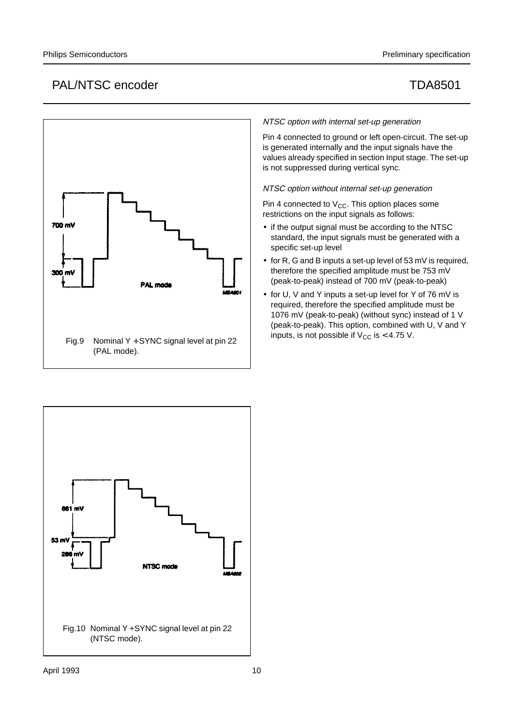

## NTSC option with internal set-up generation

Pin 4 connected to ground or left open-circuit. The set-up is generated internally and the input signals have the values already specified in section Input stage. The set-up is not suppressed during vertical sync.

NTSC option without internal set-up generation

Pin 4 connected to  $V_{CC}$ . This option places some restrictions on the input signals as follows:

- if the output signal must be according to the NTSC standard, the input signals must be generated with a specific set-up level
- for R, G and B inputs a set-up level of 53 mV is required, therefore the specified amplitude must be 753 mV (peak-to-peak) instead of 700 mV (peak-to-peak)
- for U, V and Y inputs a set-up level for Y of 76 mV is required, therefore the specified amplitude must be 1076 mV (peak-to-peak) (without sync) instead of 1 V (peak-to-peak). This option, combined with U, V and Y inputs, is not possible if  $V_{CC}$  is  $<$  4.75 V.

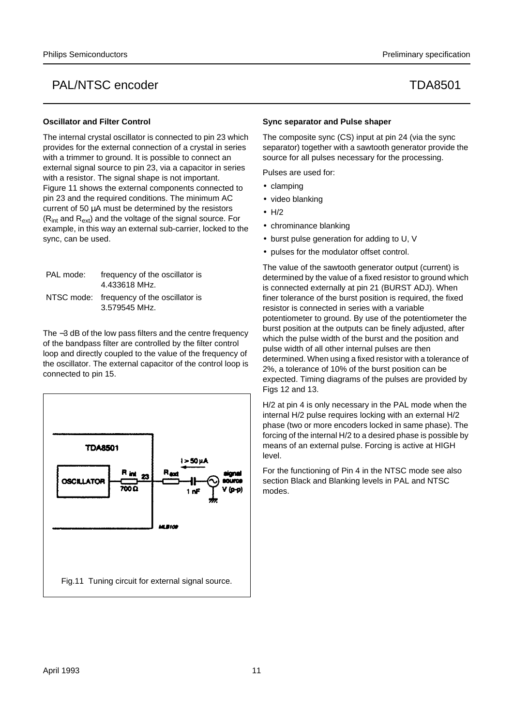## **Oscillator and Filter Control**

The internal crystal oscillator is connected to pin 23 which provides for the external connection of a crystal in series with a trimmer to ground. It is possible to connect an external signal source to pin 23, via a capacitor in series with a resistor. The signal shape is not important. Figure 11 shows the external components connected to pin 23 and the required conditions. The minimum AC current of 50 µA must be determined by the resistors  $(R<sub>int</sub>$  and  $R<sub>ext</sub>$ ) and the voltage of the signal source. For example, in this way an external sub-carrier, locked to the sync, can be used.

| PAL mode: | frequency of the oscillator is<br>4.433618 MHz.            |
|-----------|------------------------------------------------------------|
|           | NTSC mode: frequency of the oscillator is<br>3.579545 MHz. |

The −3 dB of the low pass filters and the centre frequency of the bandpass filter are controlled by the filter control loop and directly coupled to the value of the frequency of the oscillator. The external capacitor of the control loop is connected to pin 15.



## **Sync separator and Pulse shaper**

The composite sync (CS) input at pin 24 (via the sync separator) together with a sawtooth generator provide the source for all pulses necessary for the processing.

Pulses are used for:

- clamping
- video blanking
- H/2
- chrominance blanking
- burst pulse generation for adding to U, V
- pulses for the modulator offset control.

The value of the sawtooth generator output (current) is determined by the value of a fixed resistor to ground which is connected externally at pin 21 (BURST ADJ). When finer tolerance of the burst position is required, the fixed resistor is connected in series with a variable potentiometer to ground. By use of the potentiometer the burst position at the outputs can be finely adjusted, after which the pulse width of the burst and the position and pulse width of all other internal pulses are then determined. When using a fixed resistor with a tolerance of 2%, a tolerance of 10% of the burst position can be expected. Timing diagrams of the pulses are provided by Figs 12 and 13.

H/2 at pin 4 is only necessary in the PAL mode when the internal H/2 pulse requires locking with an external H/2 phase (two or more encoders locked in same phase). The forcing of the internal H/2 to a desired phase is possible by means of an external pulse. Forcing is active at HIGH level.

For the functioning of Pin 4 in the NTSC mode see also section Black and Blanking levels in PAL and NTSC modes.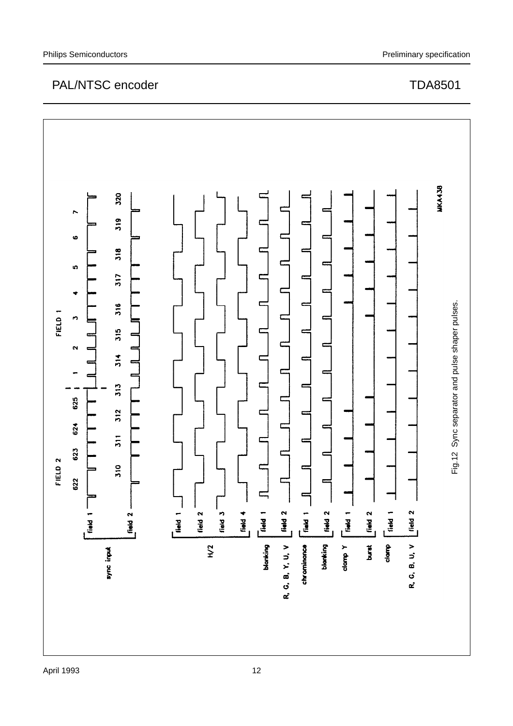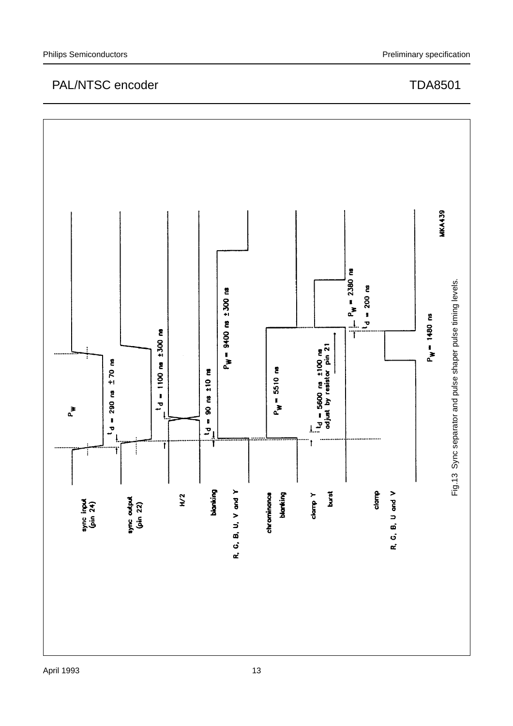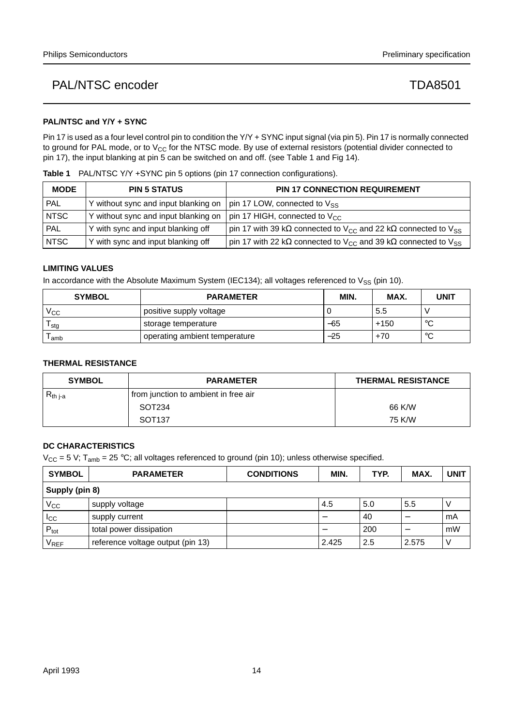## **PAL/NTSC and Y/Y + SYNC**

Pin 17 is used as a four level control pin to condition the Y/Y + SYNC input signal (via pin 5). Pin 17 is normally connected to ground for PAL mode, or to  $V_{CC}$  for the NTSC mode. By use of external resistors (potential divider connected to pin 17), the input blanking at pin 5 can be switched on and off. (see Table 1 and Fig 14).

**Table 1** PAL/NTSC Y/Y +SYNC pin 5 options (pin 17 connection configurations).

| <b>MODE</b> | <b>PIN 5 STATUS</b>                  | <b>PIN 17 CONNECTION REQUIREMENT</b>                                                                  |
|-------------|--------------------------------------|-------------------------------------------------------------------------------------------------------|
| PAL         | Y without sync and input blanking on | pin 17 LOW, connected to V <sub>SS</sub>                                                              |
| <b>NTSC</b> | Y without sync and input blanking on | pin 17 HIGH, connected to $V_{CC}$                                                                    |
| <b>PAL</b>  | Y with sync and input blanking off   | pin 17 with 39 k $\Omega$ connected to V <sub>CC</sub> and 22 k $\Omega$ connected to V <sub>SS</sub> |
| <b>NTSC</b> | Y with sync and input blanking off   | pin 17 with 22 kΩ connected to V <sub>CC</sub> and 39 kΩ connected to V <sub>SS</sub>                 |

## **LIMITING VALUES**

In accordance with the Absolute Maximum System (IEC134); all voltages referenced to  $V_{SS}$  (pin 10).

| <b>SYMBOL</b> | <b>PARAMETER</b>              | MIN.  | MAX.   | <b>UNIT</b>  |
|---------------|-------------------------------|-------|--------|--------------|
| $\rm V_{CC}$  | positive supply voltage       |       | 5.5    |              |
| l stg         | storage temperature           | $-65$ | $+150$ | $\circ$<br>ັ |
| amb           | operating ambient temperature | -25   | $+70$  | $\sim$<br>ັ  |

## **THERMAL RESISTANCE**

| <b>SYMBOL</b> | <b>PARAMETER</b>                     | <b>THERMAL RESISTANCE</b> |
|---------------|--------------------------------------|---------------------------|
| $R_{th\,j-a}$ | from junction to ambient in free air |                           |
|               | SOT234                               | 66 K/W                    |
|               | SOT <sub>137</sub>                   | 75 K/W                    |

## **DC CHARACTERISTICS**

 $V_{CC}$  = 5 V; T<sub>amb</sub> = 25 °C; all voltages referenced to ground (pin 10); unless otherwise specified.

| <b>SYMBOL</b>    | <b>PARAMETER</b>                  | <b>CONDITIONS</b> | MIN.  | TYP. | MAX.  | <b>UNIT</b> |
|------------------|-----------------------------------|-------------------|-------|------|-------|-------------|
| Supply (pin 8)   |                                   |                   |       |      |       |             |
| $V_{\rm CC}$     | supply voltage                    |                   | 4.5   | 5.0  | 5.5   |             |
| <sub>ICC</sub>   | supply current                    |                   |       | 40   |       | mA          |
| $P_{\text{tot}}$ | total power dissipation           |                   |       | 200  |       | mW          |
| $V_{REF}$        | reference voltage output (pin 13) |                   | 2.425 | 2.5  | 2.575 |             |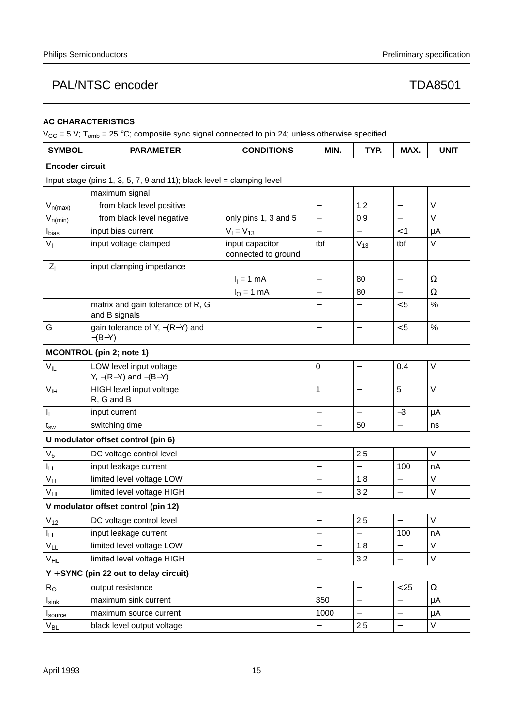## **AC CHARACTERISTICS**

 $V_{CC} = 5 V$ ; T<sub>amb</sub> = 25 °C; composite sync signal connected to pin 24; unless otherwise specified.

| <b>SYMBOL</b>          | <b>PARAMETER</b>                                                      | <b>CONDITIONS</b>                      | MIN.                     | TYP.                     | MAX.                     | <b>UNIT</b> |  |
|------------------------|-----------------------------------------------------------------------|----------------------------------------|--------------------------|--------------------------|--------------------------|-------------|--|
| <b>Encoder circuit</b> |                                                                       |                                        |                          |                          |                          |             |  |
|                        | Input stage (pins 1, 3, 5, 7, 9 and 11); black level = clamping level |                                        |                          |                          |                          |             |  |
|                        | maximum signal                                                        |                                        |                          |                          |                          |             |  |
| $V_{n(max)}$           | from black level positive                                             |                                        |                          | 1.2                      | $\overline{\phantom{0}}$ | V           |  |
| $V_{n(min)}$           | from black level negative                                             | only pins 1, 3 and 5                   | $\overline{\phantom{0}}$ | 0.9                      |                          | V           |  |
| $I_{bias}$             | input bias current                                                    | $V_1 = V_{13}$                         | $\overline{\phantom{0}}$ | $\overline{\phantom{0}}$ | $<$ 1                    | μA          |  |
| $V_{I}$                | input voltage clamped                                                 | input capacitor<br>connected to ground | tbf                      | $V_{13}$                 | tbf                      | V           |  |
| kΙ                     | input clamping impedance                                              |                                        |                          |                          |                          |             |  |
|                        |                                                                       | $I_1 = 1$ mA                           |                          | 80                       | —                        | Ω           |  |
|                        |                                                                       | $IO = 1 mA$                            | —                        | 80                       |                          | Ω           |  |
|                        | matrix and gain tolerance of R, G<br>and B signals                    |                                        |                          |                          | < 5                      | $\%$        |  |
| G                      | gain tolerance of Y, $-(R-Y)$ and<br>$-(B-Y)$                         |                                        | $\overline{\phantom{0}}$ | $\overline{\phantom{0}}$ | < 5                      | %           |  |
|                        | <b>MCONTROL</b> (pin 2; note 1)                                       |                                        |                          |                          |                          |             |  |
| $V_{IL}$               | LOW level input voltage<br>$Y, -(R-Y)$ and $-(B-Y)$                   |                                        | 0                        |                          | 0.4                      | V           |  |
| V <sub>IH</sub>        | HIGH level input voltage<br>R, G and B                                |                                        | 1                        | $\overline{\phantom{0}}$ | 5                        | $\vee$      |  |
| $I_1$                  | input current                                                         |                                        | $\overline{\phantom{0}}$ | $\equiv$                 | $-3$                     | μA          |  |
| $t_{sw}$               | switching time                                                        |                                        |                          | 50                       |                          | ns          |  |
|                        | U modulator offset control (pin 6)                                    |                                        |                          |                          |                          |             |  |
| $V_6$                  | DC voltage control level                                              |                                        | $\overline{\phantom{0}}$ | 2.5                      | $\overline{\phantom{0}}$ | V           |  |
| Iц                     | input leakage current                                                 |                                        |                          |                          | 100                      | nA          |  |
| $V_{LL}$               | limited level voltage LOW                                             |                                        |                          | 1.8                      | $\qquad \qquad -$        | V           |  |
| V <sub>HL</sub>        | limited level voltage HIGH                                            |                                        | $\overline{\phantom{0}}$ | 3.2                      | $\overline{\phantom{0}}$ | V           |  |
|                        | V modulator offset control (pin 12)                                   |                                        |                          |                          |                          |             |  |
| $V_{12}$               | DC voltage control level                                              |                                        | —                        | 2.5                      | $\qquad \qquad -$        | V           |  |
| Iц                     | input leakage current                                                 |                                        | —                        | <sup>-</sup>             | 100                      | nA          |  |
| $V_{LL}$               | limited level voltage LOW                                             |                                        |                          | 1.8                      |                          | V           |  |
| V <sub>HL</sub>        | limited level voltage HIGH                                            |                                        | $\overline{\phantom{0}}$ | 3.2                      | $\overline{\phantom{0}}$ | V           |  |
|                        | $Y + SYNC$ (pin 22 out to delay circuit)                              |                                        |                          |                          |                          |             |  |
| $R_{O}$                | output resistance                                                     |                                        | $\overline{\phantom{0}}$ | $\overline{\phantom{0}}$ | < 25                     | $\Omega$    |  |
| $I_{\sf sink}$         | maximum sink current                                                  |                                        | 350                      | $\overline{\phantom{0}}$ |                          | μA          |  |
| $I_{source}$           | maximum source current                                                |                                        | 1000                     | $\overline{\phantom{0}}$ | $\qquad \qquad -$        | μA          |  |
| $V_{BL}$               | black level output voltage                                            |                                        |                          | 2.5                      |                          | V           |  |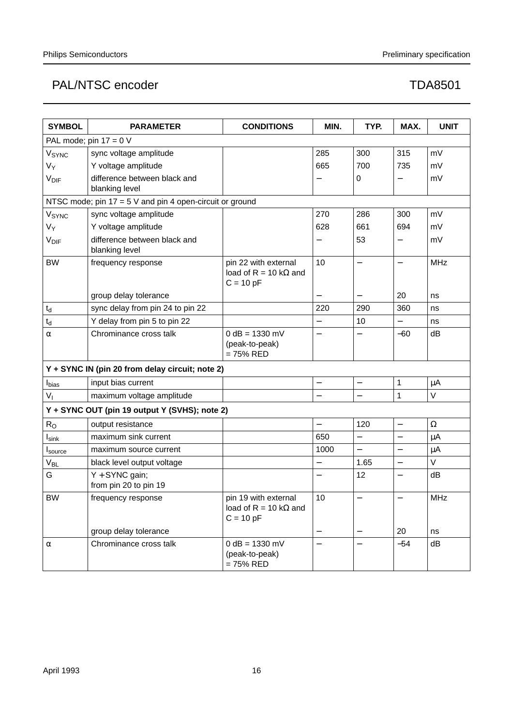| <b>SYMBOL</b>            | <b>PARAMETER</b>                                         | <b>CONDITIONS</b>                                                    | MIN.                     | TYP.                     | MAX.                     | <b>UNIT</b> |  |  |
|--------------------------|----------------------------------------------------------|----------------------------------------------------------------------|--------------------------|--------------------------|--------------------------|-------------|--|--|
| PAL mode; pin $17 = 0$ V |                                                          |                                                                      |                          |                          |                          |             |  |  |
| V <sub>SYNC</sub>        | sync voltage amplitude                                   |                                                                      | 285                      | 300                      | 315                      | mV          |  |  |
| $V_Y$                    | Y voltage amplitude                                      |                                                                      | 665                      | 700                      | 735                      | mV          |  |  |
| <b>V<sub>DIF</sub></b>   | difference between black and                             |                                                                      |                          | 0                        | —                        | mV          |  |  |
|                          | blanking level                                           |                                                                      |                          |                          |                          |             |  |  |
|                          | NTSC mode; pin 17 = 5 V and pin 4 open-circuit or ground |                                                                      |                          |                          |                          |             |  |  |
| VSYNC                    | sync voltage amplitude                                   |                                                                      | 270                      | 286                      | 300                      | mV          |  |  |
| $V_Y$                    | Y voltage amplitude                                      |                                                                      | 628                      | 661                      | 694                      | mV          |  |  |
| <b>V<sub>DIF</sub></b>   | difference between black and<br>blanking level           |                                                                      | —                        | 53                       | —                        | mV          |  |  |
| <b>BW</b>                | frequency response                                       | pin 22 with external<br>load of R = 10 k $\Omega$ and<br>$C = 10 pF$ | 10                       | $\overline{\phantom{0}}$ | $\overline{\phantom{0}}$ | <b>MHz</b>  |  |  |
|                          | group delay tolerance                                    |                                                                      |                          |                          | 20                       | ns          |  |  |
| $\mathfrak{t}_{\sf d}$   | sync delay from pin 24 to pin 22                         |                                                                      | 220                      | 290                      | 360                      | ns          |  |  |
| $\mathfrak{t}_{\sf d}$   | Y delay from pin 5 to pin 22                             |                                                                      |                          | 10                       |                          | ns          |  |  |
| $\alpha$                 | Chrominance cross talk                                   | $0 dB = 1330 mV$                                                     | $\overline{\phantom{0}}$ |                          | $-60$                    | dB          |  |  |
|                          |                                                          | (peak-to-peak)<br>$= 75%$ RED                                        |                          |                          |                          |             |  |  |
|                          | Y + SYNC IN (pin 20 from delay circuit; note 2)          |                                                                      |                          |                          |                          |             |  |  |
| $I_{bias}$               | input bias current                                       |                                                                      | $\overline{\phantom{0}}$ | $\overline{\phantom{0}}$ | $\mathbf 1$              | μA          |  |  |
| $V_{I}$                  | maximum voltage amplitude                                |                                                                      | $\overline{\phantom{0}}$ | $\overline{\phantom{0}}$ | 1                        | $\vee$      |  |  |
|                          | Y + SYNC OUT (pin 19 output Y (SVHS); note 2)            |                                                                      |                          |                          |                          |             |  |  |
| $\rm R_{O}$              | output resistance                                        |                                                                      | $\overline{\phantom{0}}$ | 120                      | $\overline{\phantom{0}}$ | $\Omega$    |  |  |
| $I_{\text{sink}}$        | maximum sink current                                     |                                                                      | 650                      | $\overline{\phantom{0}}$ | $\qquad \qquad -$        | μA          |  |  |
| I <sub>source</sub>      | maximum source current                                   |                                                                      | 1000                     | $\overline{\phantom{0}}$ |                          | $\mu$ A     |  |  |
| V <sub>BL</sub>          | black level output voltage                               |                                                                      | $\qquad \qquad -$        | 1.65                     | $\overline{\phantom{0}}$ | V           |  |  |
| G                        | $Y + SYNC$ gain;<br>from pin 20 to pin 19                |                                                                      |                          | 12                       |                          | dB          |  |  |
| BW                       | frequency response                                       | pin 19 with external<br>load of R = 10 k $\Omega$ and<br>$C = 10 pF$ | 10                       | $\overline{\phantom{0}}$ |                          | <b>MHz</b>  |  |  |
|                          | group delay tolerance                                    |                                                                      |                          |                          | 20                       | ns          |  |  |
| $\alpha$                 | Chrominance cross talk                                   | $0 dB = 1330 mV$<br>(peak-to-peak)<br>$= 75%$ RED                    |                          |                          | $-54$                    | dB          |  |  |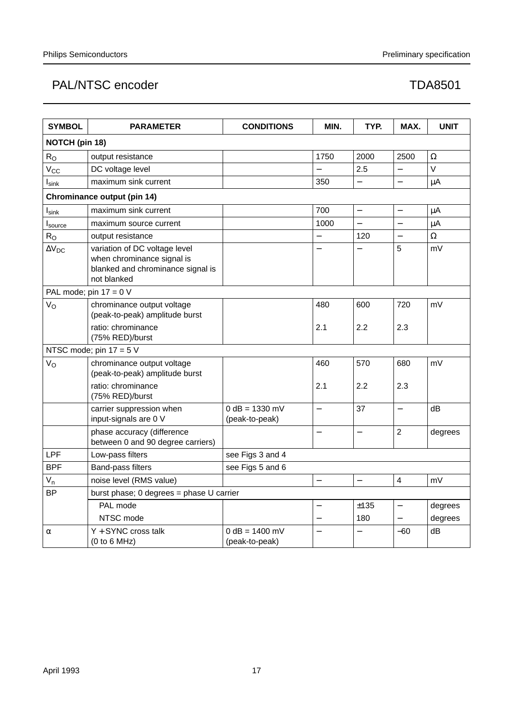| <b>SYMBOL</b>       | <b>PARAMETER</b>                                                                                                | <b>CONDITIONS</b>                  | MIN.                     | TYP.                     | MAX.              | <b>UNIT</b> |
|---------------------|-----------------------------------------------------------------------------------------------------------------|------------------------------------|--------------------------|--------------------------|-------------------|-------------|
| NOTCH (pin 18)      |                                                                                                                 |                                    |                          |                          |                   |             |
| $R_{O}$             | output resistance                                                                                               |                                    | 1750                     | 2000                     | 2500              | Ω           |
| $V_{\rm CC}$        | DC voltage level                                                                                                |                                    |                          | 2.5                      |                   | V           |
| $I_{\text{sink}}$   | maximum sink current                                                                                            |                                    | 350                      |                          | $\equiv$          | $\mu$ A     |
|                     | Chrominance output (pin 14)                                                                                     |                                    |                          |                          |                   |             |
| $I_{\textsf{sink}}$ | maximum sink current                                                                                            |                                    | 700                      | $\overline{a}$           | $\qquad \qquad -$ | μA          |
| Isource             | maximum source current                                                                                          |                                    | 1000                     |                          |                   | μA          |
| $R_{O}$             | output resistance                                                                                               |                                    |                          | 120                      |                   | Ω           |
| $\Delta V_{DC}$     | variation of DC voltage level<br>when chrominance signal is<br>blanked and chrominance signal is<br>not blanked |                                    |                          |                          | 5                 | mV          |
|                     | PAL mode; pin $17 = 0$ V                                                                                        |                                    |                          |                          |                   |             |
| $V_{\rm O}$         | chrominance output voltage<br>(peak-to-peak) amplitude burst                                                    |                                    | 480                      | 600                      | 720               | mV          |
|                     | ratio: chrominance<br>(75% RED)/burst                                                                           |                                    | 2.1                      | 2.2                      | 2.3               |             |
|                     | NTSC mode; pin $17 = 5$ V                                                                                       |                                    |                          |                          |                   |             |
| $V_{\rm O}$         | chrominance output voltage<br>(peak-to-peak) amplitude burst                                                    |                                    | 460                      | 570                      | 680               | mV          |
|                     | ratio: chrominance<br>(75% RED)/burst                                                                           |                                    | 2.1                      | 2.2                      | 2.3               |             |
|                     | carrier suppression when<br>input-signals are 0 V                                                               | $0 dB = 1330 mV$<br>(peak-to-peak) | $\overline{\phantom{0}}$ | 37                       | $\qquad \qquad -$ | dB          |
|                     | phase accuracy (difference<br>between 0 and 90 degree carriers)                                                 |                                    |                          |                          | $\overline{2}$    | degrees     |
| LPF                 | Low-pass filters                                                                                                | see Figs 3 and 4                   |                          |                          |                   |             |
| <b>BPF</b>          | Band-pass filters                                                                                               | see Figs 5 and 6                   |                          |                          |                   |             |
| $V_{n}$             | noise level (RMS value)                                                                                         |                                    | $\overline{\phantom{0}}$ | $\overline{\phantom{0}}$ | $\overline{4}$    | mV          |
| <b>BP</b>           | burst phase; 0 degrees = phase U carrier                                                                        |                                    |                          |                          |                   |             |
|                     | PAL mode                                                                                                        |                                    |                          | ±135                     |                   | degrees     |
|                     | NTSC mode                                                                                                       |                                    |                          | 180                      |                   | degrees     |
| α                   | $Y + SYNC$ cross talk<br>(0 to 6 MHz)                                                                           | $0 dB = 1400 mV$<br>(peak-to-peak) |                          |                          | $-60$             | dB          |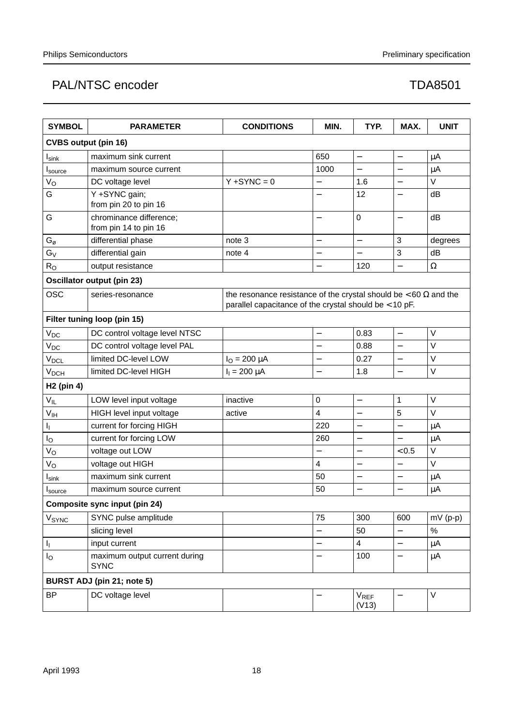| <b>SYMBOL</b>                                  | <b>PARAMETER</b>                                 | <b>CONDITIONS</b>                                                                                                                 | MIN.                     | TYP.                      | MAX.                     | <b>UNIT</b> |
|------------------------------------------------|--------------------------------------------------|-----------------------------------------------------------------------------------------------------------------------------------|--------------------------|---------------------------|--------------------------|-------------|
| <b>CVBS output (pin 16)</b>                    |                                                  |                                                                                                                                   |                          |                           |                          |             |
| $I_{\textsf{sink}}$                            | maximum sink current                             |                                                                                                                                   | 650                      | $\qquad \qquad -$         | $\qquad \qquad -$        | $\mu$ A     |
| I <sub>source</sub>                            | maximum source current                           |                                                                                                                                   | 1000                     | $\overline{\phantom{0}}$  |                          | μA          |
| $V_{\rm O}$                                    | DC voltage level                                 | $Y + SYNC = 0$                                                                                                                    | —                        | 1.6                       | $\overline{\phantom{0}}$ | $\vee$      |
| G                                              | Y +SYNC gain;<br>from pin 20 to pin 16           |                                                                                                                                   |                          | 12                        |                          | dB          |
| G                                              | chrominance difference;<br>from pin 14 to pin 16 |                                                                                                                                   | $\overline{\phantom{0}}$ | 0                         |                          | dB          |
| $\mathsf{G}_{\scriptscriptstyle{\mathcal{O}}}$ | differential phase                               | note 3                                                                                                                            | $\overline{\phantom{0}}$ | $\overline{\phantom{0}}$  | 3                        | degrees     |
| $G_V$                                          | differential gain                                | note 4                                                                                                                            |                          |                           | 3                        | dB          |
| $R_{\rm O}$                                    | output resistance                                |                                                                                                                                   | $\qquad \qquad -$        | 120                       | $\equiv$                 | $\Omega$    |
|                                                | <b>Oscillator output (pin 23)</b>                |                                                                                                                                   |                          |                           |                          |             |
| OSC                                            | series-resonance                                 | the resonance resistance of the crystal should be $< 60 \Omega$ and the<br>parallel capacitance of the crystal should be < 10 pF. |                          |                           |                          |             |
|                                                | Filter tuning loop (pin 15)                      |                                                                                                                                   |                          |                           |                          |             |
| V <sub>DC</sub>                                | DC control voltage level NTSC                    |                                                                                                                                   | $\qquad \qquad -$        | 0.83                      | $\overline{\phantom{0}}$ | V           |
| V <sub>DC</sub>                                | DC control voltage level PAL                     |                                                                                                                                   |                          | 0.88                      |                          | V           |
| V <sub>DCL</sub>                               | limited DC-level LOW                             | $I_{O} = 200 \mu A$                                                                                                               | —                        | 0.27                      |                          | V           |
| V <sub>DCH</sub>                               | limited DC-level HIGH                            | $I_1 = 200 \mu A$                                                                                                                 |                          | 1.8                       |                          | V           |
| H <sub>2</sub> (pin 4)                         |                                                  |                                                                                                                                   |                          |                           |                          |             |
| $V_{IL}$                                       | LOW level input voltage                          | inactive                                                                                                                          | $\boldsymbol{0}$         | $\qquad \qquad -$         | 1                        | V           |
| $V_{\text{IH}}$                                | HIGH level input voltage                         | active                                                                                                                            | $\overline{4}$           |                           | 5                        | $\vee$      |
| ı,                                             | current for forcing HIGH                         |                                                                                                                                   | 220                      |                           | $\overline{\phantom{0}}$ | $\mu$ A     |
| Ιo                                             | current for forcing LOW                          |                                                                                                                                   | 260                      | $\overline{\phantom{0}}$  |                          | $\mu$ A     |
| V <sub>O</sub>                                 | voltage out LOW                                  |                                                                                                                                   | —                        | —                         | < 0.5                    | V           |
| V <sub>o</sub>                                 | voltage out HIGH                                 |                                                                                                                                   | 4                        | $\overline{\phantom{0}}$  | $\qquad \qquad -$        | $\vee$      |
| <b>I</b> sink                                  | maximum sink current                             |                                                                                                                                   | 50                       | $\overline{\phantom{0}}$  | $\overline{\phantom{0}}$ | $\mu$ A     |
| Isource                                        | maximum source current                           |                                                                                                                                   | 50                       |                           |                          | μA          |
| Composite sync input (pin 24)                  |                                                  |                                                                                                                                   |                          |                           |                          |             |
| V <sub>SYNC</sub>                              | SYNC pulse amplitude                             |                                                                                                                                   | 75                       | 300                       | 600                      | $mV(p-p)$   |
|                                                | slicing level                                    |                                                                                                                                   |                          | 50                        |                          | %           |
| I,                                             | input current                                    |                                                                                                                                   | <sup>-</sup>             | $\overline{\mathbf{4}}$   | $\qquad \qquad -$        | μA          |
| l <sub>O</sub>                                 | maximum output current during<br><b>SYNC</b>     |                                                                                                                                   | —                        | 100                       | $\qquad \qquad -$        | μA          |
|                                                | BURST ADJ (pin 21; note 5)                       |                                                                                                                                   |                          |                           |                          |             |
| ВP                                             | DC voltage level                                 |                                                                                                                                   |                          | V <sub>REF</sub><br>(V13) | —                        | V           |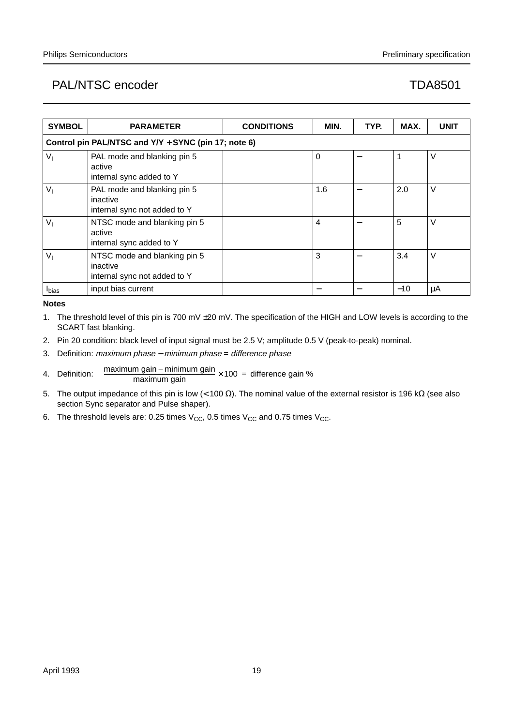| <b>SYMBOL</b>  | <b>PARAMETER</b>                                                         | <b>CONDITIONS</b> | MIN.           | TYP. | MAX.  | <b>UNIT</b> |
|----------------|--------------------------------------------------------------------------|-------------------|----------------|------|-------|-------------|
|                | Control pin PAL/NTSC and Y/Y + SYNC (pin 17; note 6)                     |                   |                |      |       |             |
| $V_{1}$        | PAL mode and blanking pin 5<br>active<br>internal sync added to Y        |                   | $\Omega$       |      |       | V           |
| V <sub>1</sub> | PAL mode and blanking pin 5<br>inactive<br>internal sync not added to Y  |                   | 1.6            |      | 2.0   | V           |
| $V_{1}$        | NTSC mode and blanking pin 5<br>active<br>internal sync added to Y       |                   | $\overline{4}$ |      | 5     | V           |
| V <sub>1</sub> | NTSC mode and blanking pin 5<br>inactive<br>internal sync not added to Y |                   | 3              |      | 3.4   | V           |
| <b>I</b> bias  | input bias current                                                       |                   |                |      | $-10$ | μA          |

**Notes**

- 1. The threshold level of this pin is 700 mV ±20 mV. The specification of the HIGH and LOW levels is according to the SCART fast blanking.
- 2. Pin 20 condition: black level of input signal must be 2.5 V; amplitude 0.5 V (peak-to-peak) nominal.
- 3. Definition: maximum phase minimum phase = difference phase
- 4. Definition: maximum gain – minimum gain × 100 = difference gain %<br>maximum gain
- 5. The output impedance of this pin is low (< 100 Ω). The nominal value of the external resistor is 196 kΩ (see also section Sync separator and Pulse shaper).
- 6. The threshold levels are: 0.25 times  $V_{CC}$ , 0.5 times  $V_{CC}$  and 0.75 times  $V_{CC}$ .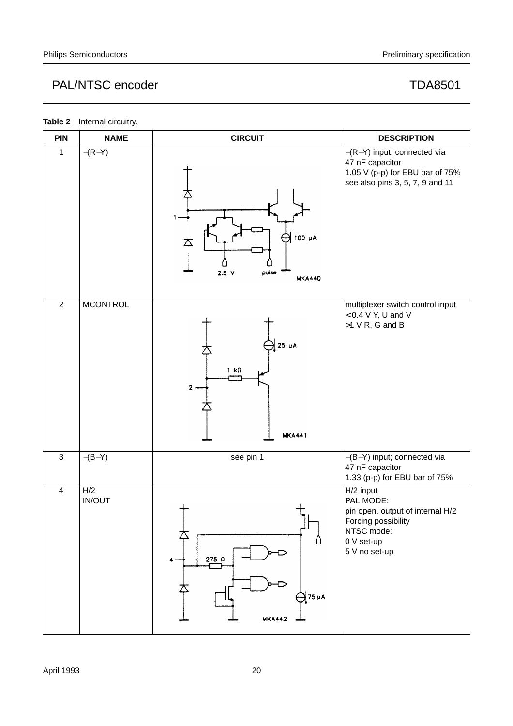| <b>PIN</b>     | <b>NAME</b>          | <b>CIRCUIT</b>                                                     | <b>DESCRIPTION</b>                                                                                                             |
|----------------|----------------------|--------------------------------------------------------------------|--------------------------------------------------------------------------------------------------------------------------------|
| $\mathbf{1}$   | $-(R-Y)$             | 100 µA<br>$2.5$ V<br>puise<br><b>MKA440</b>                        | -(R-Y) input; connected via<br>47 nF capacitor<br>1.05 V (p-p) for EBU bar of 75%<br>see also pins 3, 5, 7, 9 and 11           |
| $\overline{2}$ | <b>MCONTROL</b>      | $25 \mu A$<br>$1 \text{ k}\Omega$<br>$\mathbf{2}$<br><b>MKA441</b> | multiplexer switch control input<br>$< 0.4 V$ Y, U and V<br>$>1$ V R, G and B                                                  |
| $\mathfrak{S}$ | $-(B-Y)$             | see pin 1                                                          | -(B-Y) input; connected via<br>47 nF capacitor<br>1.33 (p-p) for EBU bar of 75%                                                |
| $\overline{4}$ | H/2<br><b>IN/OUT</b> | $275$ $\Omega$<br>4.<br>75 µA<br><b>MKA442</b>                     | H/2 input<br>PAL MODE:<br>pin open, output of internal H/2<br>Forcing possibility<br>NTSC mode:<br>0 V set-up<br>5 V no set-up |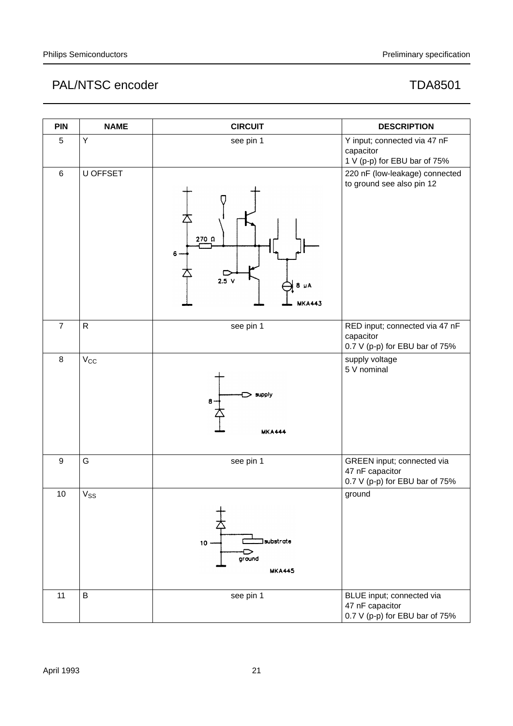| <b>PIN</b>       | <b>NAME</b>  | <b>CIRCUIT</b>                                      | <b>DESCRIPTION</b>                                                              |
|------------------|--------------|-----------------------------------------------------|---------------------------------------------------------------------------------|
| 5                | Υ            | see pin 1                                           | Y input; connected via 47 nF<br>capacitor<br>1 V (p-p) for EBU bar of 75%       |
| $\,6\,$          | U OFFSET     | 270 Ω<br>6<br>$2.5$ V<br>$8 \mu A$<br><b>MKA443</b> | 220 nF (low-leakage) connected<br>to ground see also pin 12                     |
| $\overline{7}$   | $\mathsf{R}$ | see pin 1                                           | RED input; connected via 47 nF<br>capacitor<br>0.7 V (p-p) for EBU bar of 75%   |
| $\,8\,$          | $V_{\rm CC}$ | supply<br>8<br><b>MKA444</b>                        | supply voltage<br>5 V nominal                                                   |
| $\boldsymbol{9}$ | G            | see pin 1                                           | GREEN input; connected via<br>47 nF capacitor<br>0.7 V (p-p) for EBU bar of 75% |
| 10               | $V_{SS}$     | substrate<br>$10 -$<br>冖<br>ground<br><b>MKA445</b> | ground                                                                          |
| 11               | B            | see pin 1                                           | BLUE input; connected via<br>47 nF capacitor<br>0.7 V (p-p) for EBU bar of 75%  |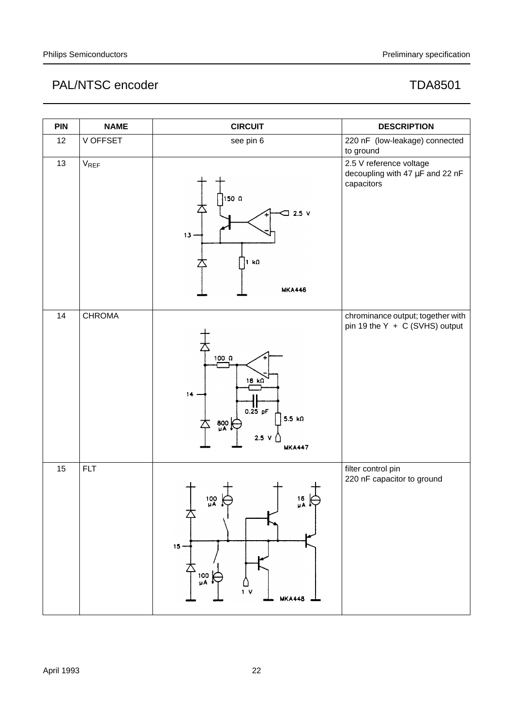| <b>PIN</b> | <b>NAME</b>   | <b>CIRCUIT</b>                                                                                                                   | <b>DESCRIPTION</b>                                                       |
|------------|---------------|----------------------------------------------------------------------------------------------------------------------------------|--------------------------------------------------------------------------|
| 12         | V OFFSET      | see pin 6                                                                                                                        | 220 nF (low-leakage) connected<br>to ground                              |
| 13         | $V_{REF}$     | 150 Ω<br>$2.5$ V<br>⊐<br>$13 -$<br>1 k $\Omega$<br><b>MKA446</b>                                                                 | 2.5 V reference voltage<br>decoupling with 47 µF and 22 nF<br>capacitors |
| 14         | <b>CHROMA</b> | 100 $\Omega$<br>$18 \text{ k}\Omega$<br>14.<br>$\frac{1}{0.25}$ pF<br>$5.5 k\Omega$<br>$\frac{800}{4}$<br>2.5 V<br><b>MKA447</b> | chrominance output; together with<br>pin 19 the Y + C (SVHS) output      |
| 15         | <b>FLT</b>    | 100<br>16<br>µA ∲<br>µA ∳<br>$15 -$<br>100<br>μΑ<br>$1 \vee$<br><b>MKA448</b>                                                    | filter control pin<br>220 nF capacitor to ground                         |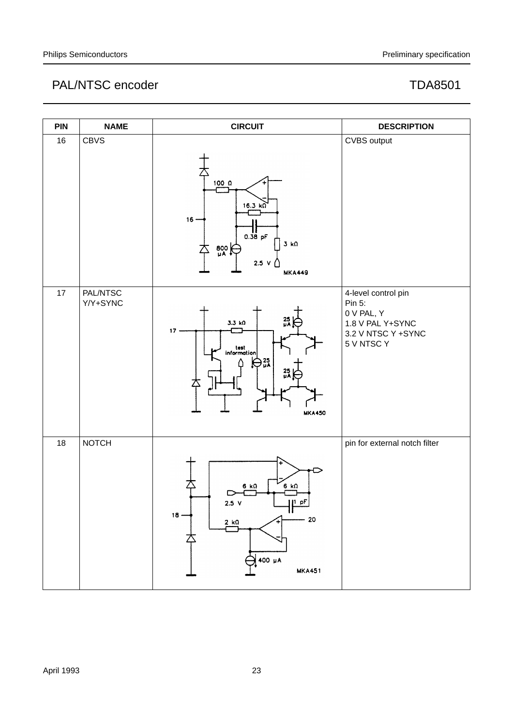| <b>PIN</b> | <b>NAME</b>          | <b>CIRCUIT</b>                                                                                                        | <b>DESCRIPTION</b>                                                                                  |
|------------|----------------------|-----------------------------------------------------------------------------------------------------------------------|-----------------------------------------------------------------------------------------------------|
| 16         | <b>CBVS</b>          | 100 <sub>0</sub><br>$16.3 k\Omega$<br>16<br>$0.38$ pF<br>$3 k\Omega$<br>$\frac{800}{4}$<br>Δ<br>2.5V<br><b>MKA449</b> | CVBS output                                                                                         |
| 17         | PAL/NTSC<br>Y/Y+SYNC | $\frac{25}{11}$<br>3.3 kO<br>17.<br>test<br>information<br>$\bigoplus_{\mu}$ 25<br>$25$ uA<br><b>MKA450</b>           | 4-level control pin<br>Pin 5:<br>0 V PAL, Y<br>1.8 V PAL Y+SYNC<br>3.2 V NTSC Y +SYNC<br>5 V NTSC Y |
| 18         | <b>NOTCH</b>         | 6 kΩ<br>6 k $\Omega$<br>2.5 <sub>v</sub><br>$P^{\dagger}$<br>$18 -$<br>20<br>$2 k\Omega$<br>400 µA<br><b>MKA451</b>   | pin for external notch filter                                                                       |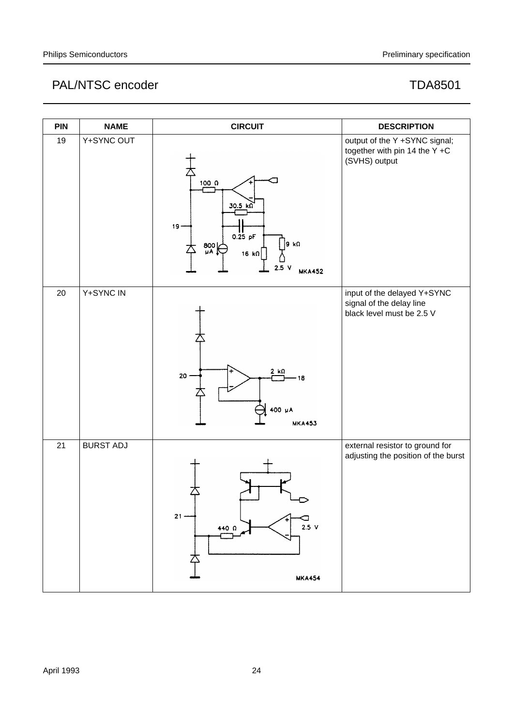| <b>PIN</b> | <b>NAME</b>      | <b>CIRCUIT</b>                                                                                                                | <b>DESCRIPTION</b>                                                                   |
|------------|------------------|-------------------------------------------------------------------------------------------------------------------------------|--------------------------------------------------------------------------------------|
| 19         | Y+SYNC OUT       | 100 <sub>0</sub><br>30.5 k<br>$19 -$<br>$0.25$ pF<br>9 kΩ<br>$\frac{800}{\mu A}$<br>$16 k\Omega$<br>2.5<br>۷<br><b>MKA452</b> | output of the Y +SYNC signal;<br>together with pin 14 the Y +C<br>(SVHS) output      |
| 20         | Y+SYNC IN        | 2 kΩ<br>20<br>18<br>400 µA<br><b>MKA453</b>                                                                                   | input of the delayed Y+SYNC<br>signal of the delay line<br>black level must be 2.5 V |
| 21         | <b>BURST ADJ</b> | 21<br>$2.5 \text{ V}$<br>440 $\Omega$<br><b>MKA454</b>                                                                        | external resistor to ground for<br>adjusting the position of the burst               |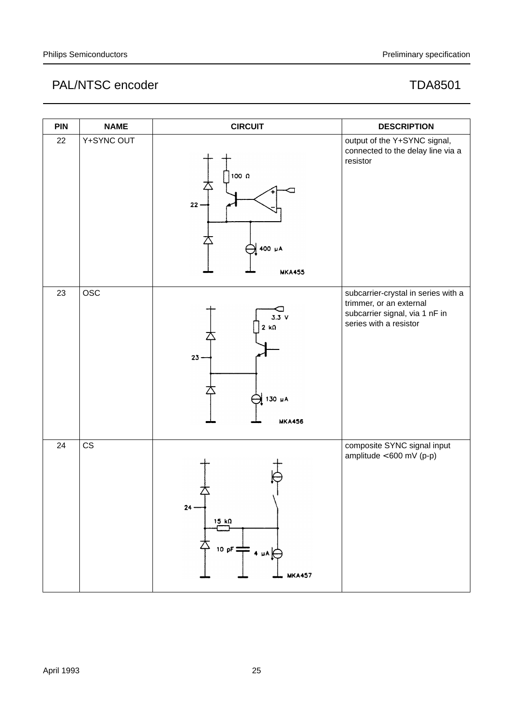| <b>PIN</b> | <b>NAME</b> | <b>CIRCUIT</b>                                                             | <b>DESCRIPTION</b>                                                                                                         |
|------------|-------------|----------------------------------------------------------------------------|----------------------------------------------------------------------------------------------------------------------------|
| 22         | Y+SYNC OUT  | 100 Ω<br>$22 -$<br>400 µA<br><b>MKA455</b>                                 | output of the Y+SYNC signal,<br>connected to the delay line via a<br>resistor                                              |
| 23         | <b>OSC</b>  | 3.3V<br>$2 k\Omega$<br>$23 -$<br>130 µA<br><b>MKA456</b>                   | subcarrier-crystal in series with a<br>trimmer, or an external<br>subcarrier signal, via 1 nF in<br>series with a resistor |
| 24         | CS          | $24 -$<br>$15 k\Omega$<br>10 pF $\frac{1}{\sqrt{1}}$ 4 µA<br><b>MKA457</b> | composite SYNC signal input<br>amplitude $< 600$ mV (p-p)                                                                  |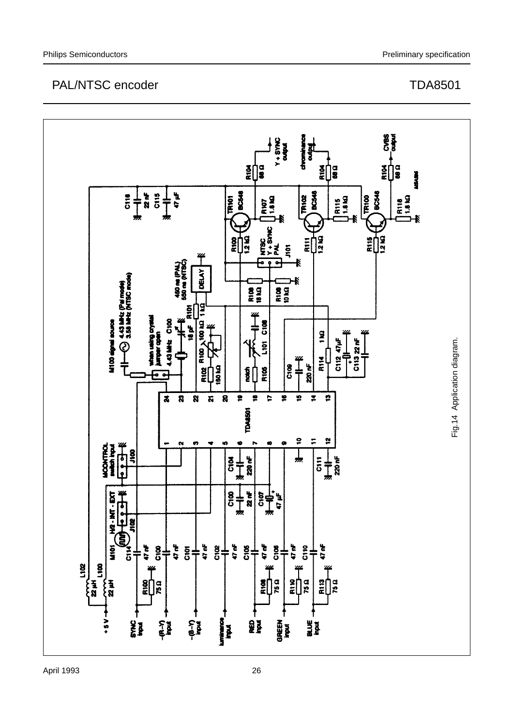

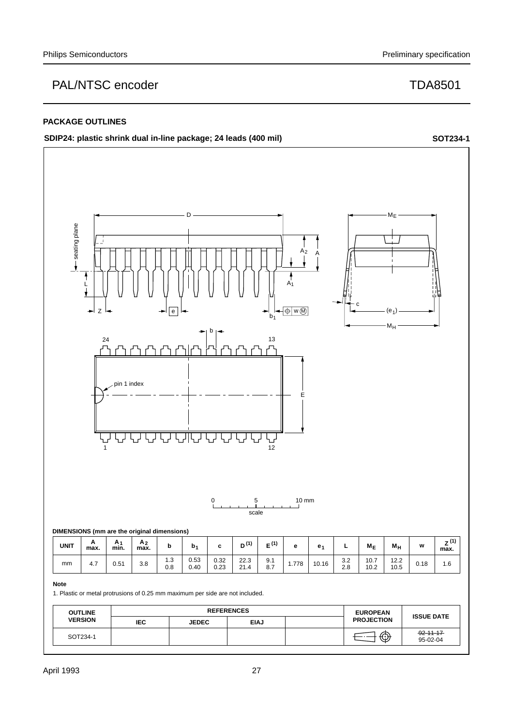## **PACKAGE OUTLINES**

## **SDIP24: plastic shrink dual in-line package; 24 leads (400 mil) SOT234-1 SOT234-1**



 $95-02-04$ 

SOT234-1  $\begin{array}{|c|c|c|c|c|c|}\n\hline\n\text{SOT234-1} & \text{S2-11-17}\n\hline\n\end{array}$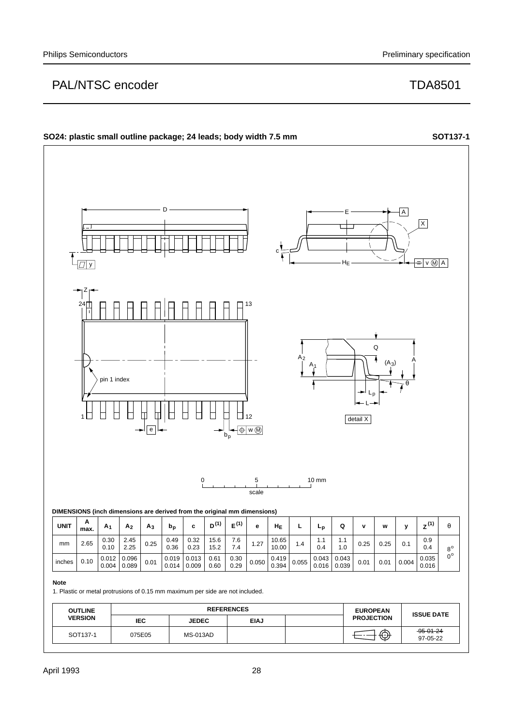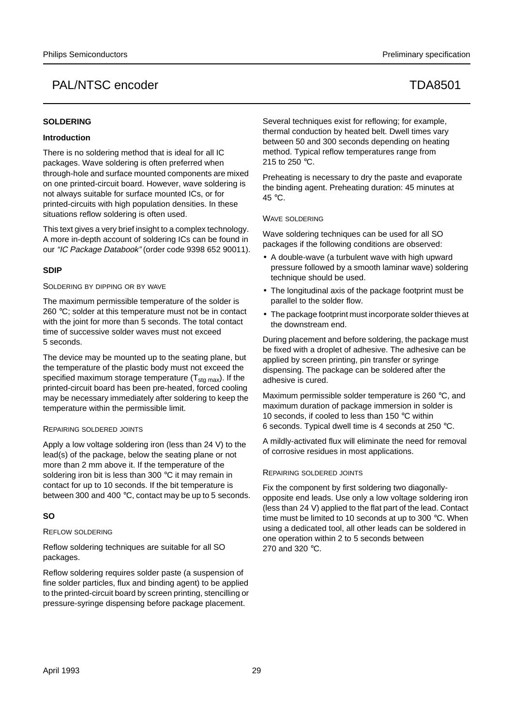## **SOLDERING**

## **Introduction**

There is no soldering method that is ideal for all IC packages. Wave soldering is often preferred when through-hole and surface mounted components are mixed on one printed-circuit board. However, wave soldering is not always suitable for surface mounted ICs, or for printed-circuits with high population densities. In these situations reflow soldering is often used.

This text gives a very brief insight to a complex technology. A more in-depth account of soldering ICs can be found in our "IC Package Databook" (order code 9398 652 90011).

## **SDIP**

### SOLDERING BY DIPPING OR BY WAVE

The maximum permissible temperature of the solder is 260 °C; solder at this temperature must not be in contact with the joint for more than 5 seconds. The total contact time of successive solder waves must not exceed 5 seconds.

The device may be mounted up to the seating plane, but the temperature of the plastic body must not exceed the specified maximum storage temperature  $(T_{\text{stg max}})$ . If the printed-circuit board has been pre-heated, forced cooling may be necessary immediately after soldering to keep the temperature within the permissible limit.

## REPAIRING SOLDERED JOINTS

Apply a low voltage soldering iron (less than 24 V) to the lead(s) of the package, below the seating plane or not more than 2 mm above it. If the temperature of the soldering iron bit is less than 300 °C it may remain in contact for up to 10 seconds. If the bit temperature is between 300 and 400 °C, contact may be up to 5 seconds.

## **SO**

## REFLOW SOLDERING

Reflow soldering techniques are suitable for all SO packages.

Reflow soldering requires solder paste (a suspension of fine solder particles, flux and binding agent) to be applied to the printed-circuit board by screen printing, stencilling or pressure-syringe dispensing before package placement.

Several techniques exist for reflowing; for example, thermal conduction by heated belt. Dwell times vary between 50 and 300 seconds depending on heating method. Typical reflow temperatures range from 215 to 250 °C.

Preheating is necessary to dry the paste and evaporate the binding agent. Preheating duration: 45 minutes at 45 °C.

## WAVE SOLDERING

Wave soldering techniques can be used for all SO packages if the following conditions are observed:

- A double-wave (a turbulent wave with high upward pressure followed by a smooth laminar wave) soldering technique should be used.
- The longitudinal axis of the package footprint must be parallel to the solder flow.
- The package footprint must incorporate solder thieves at the downstream end.

During placement and before soldering, the package must be fixed with a droplet of adhesive. The adhesive can be applied by screen printing, pin transfer or syringe dispensing. The package can be soldered after the adhesive is cured.

Maximum permissible solder temperature is 260 °C, and maximum duration of package immersion in solder is 10 seconds, if cooled to less than 150 °C within 6 seconds. Typical dwell time is 4 seconds at 250 °C.

A mildly-activated flux will eliminate the need for removal of corrosive residues in most applications.

## REPAIRING SOLDERED JOINTS

Fix the component by first soldering two diagonallyopposite end leads. Use only a low voltage soldering iron (less than 24 V) applied to the flat part of the lead. Contact time must be limited to 10 seconds at up to 300 °C. When using a dedicated tool, all other leads can be soldered in one operation within 2 to 5 seconds between 270 and 320 °C.